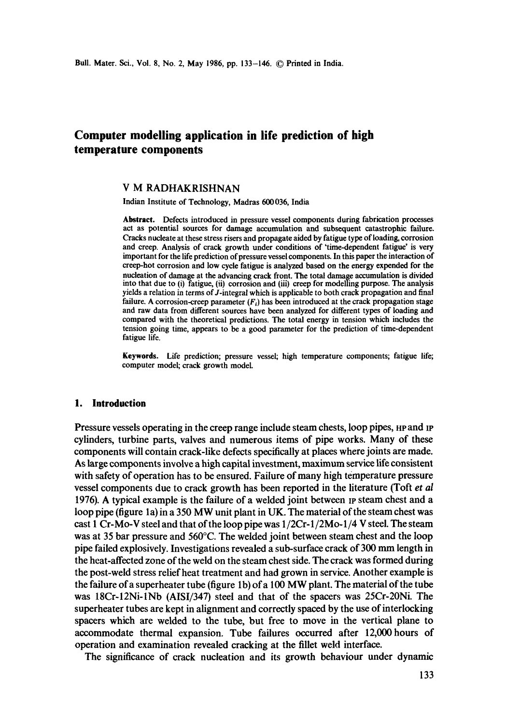# **Computer modelling application in life prediction of high temperature components**

## V M RADHAKRISHNAN

Indian Institute of Technology, Madras 600036, India

**Abstract.** Defects introduced in pressure vessel components during fabrication processes act as potential sources for damage accumulation and subsequent catastrophic failure. Cracks nucleate at these stress risers and propagate aided by fatigue type of loading, corrosion and creep. Analysis of crack growth under conditions of 'time-dependent fatigue' is very important for the life prediction of pressure vessel components. In this paper the interaction of creep-hot corrosion and low cycle fatigue is analyzed based on the energy expended for **the**  nucleation of damage at the advancing crack front. The total damage accumulation is divided into that due to (i) fatigue, (ii) corrosion and (iii) creep for modelling purpose. The analysis yields a relation in terms of J-integral which is applicable to both crack propagation and final failure. A corrosion-creep parameter  $(F_i)$  has been introduced at the crack propagation stage and raw data from different sources have been analyzed for different types of loading and compared with the theoretical predictions. The total energy in tension which includes the tension going time, appears to be a good parameter for the prediction of time-dependent fatigue life.

Keywords. Life prediction; pressure vessel; high temperature components; fatigue life; computer model; crack growth model.

#### **1. Introduction**

Pressure vessels operating in the creep range include steam chests, loop pipes, HP and IP cylinders, turbine parts, valves and numerous items of pipe works. Many of these components will contain crack-like defects specifically at places where joints are made. As large components involve a high capital investment, maximum service life consistent with safety of operation has to be ensured. Failure of many high temperature pressure vessel components due to crack growth has been reported in the literature (Toft *et al*  1976). A typical example is the failure of a welded joint between  $p$  steam chest and a loop pipe (figure la) in a 350 MW unit plant in UK. The material of the steam chest was cast 1 Cr-Mo-V steel and that of the loop pipe was 1/2Cr-1/2Mo-1/4 V steel. The steam was at 35 bar pressure and 560°C. The welded joint between steam chest and the loop pipe failed explosively. Investigations revealed a sub-surface crack of 300 mm length in the heat-affected zone of the weld on the steam chest side. The crack was formed during the post-weld stress relief heat treatment and had grown in service. Another example is the failure of a superheater tube (figure lb) of a 100 MW plant. The material of the tube was 18Cr-12Ni-lNb (AISI/347) steel and that of the spacers was 25Cr-20Ni. The superheater tubes are kept in alignment and correctly spaced by the use of interlocking spacers which are welded to the tube, but free to move in the vertical plane to accommodate thermal expansion. Tube failures occurred after 12,000 hours of operation and examination revealed cracking at the fillet weld interface.

The significance of crack nucleation and its growth behaviour under dynamic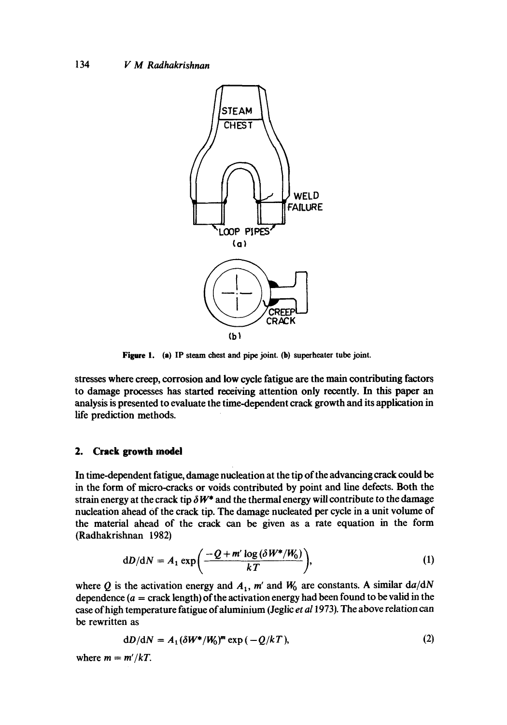

**Figure** 1. **(a) IP steam chest and pipe joint. (b) superheater tube joint.** 

stresses where creep, corrosion and low cycle fatigue are the main contributing factors to damage processes has started receiving attention only recently. In this paper an analysis is presented to evaluate the time-dependent crack growth and its application in life prediction methods.

#### **2. Crack growth model**

In time-dependent fatigue, damage nucleation at the tip of the advancing crack could be in the form of micro-cracks or voids contributed by point and line defects. Both the strain energy at the crack tip  $\delta W^*$  and the thermal energy will contribute to the damage nucleation ahead Of the crack tip. The damage nucleated per cycle in a unit volume of the material ahead of the crack can be given as a rate equation in the form (Radhakrishnan 1982)

$$
dD/dN = A_1 \exp\left(\frac{-Q + m' \log(\delta W^* / W_0)}{kT}\right),\tag{1}
$$

where Q is the activation energy and  $A_1$ , m' and  $W_0$  are constants. A similar  $da/dN$ dependence  $(a = \text{crack length})$  of the activation energy had been found to be valid in the case of high temperature fatigue ofaluminium (Jeglic *et al* 1973). The above relation can be rewritten as

$$
dD/dN = A_1 (\delta W^* / W_0)^m \exp(-Q/kT), \qquad (2)
$$

where  $m = m'/kT$ .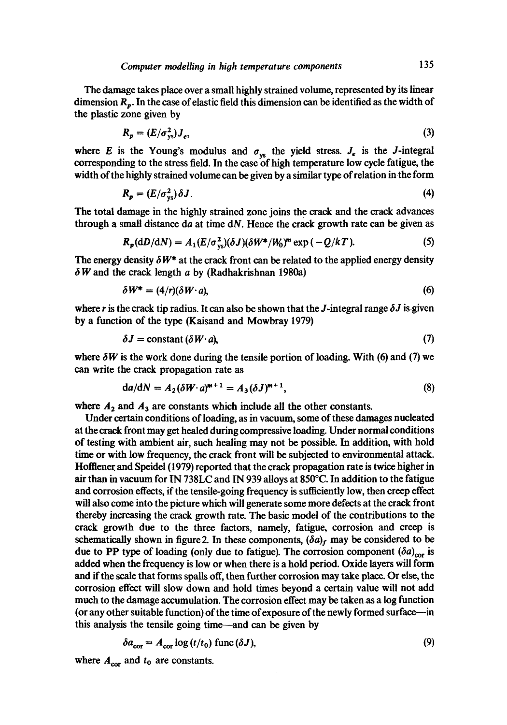The damage takes place over a small highly strained volume, represented by its linear dimension  $R_p$ . In the case of elastic field this dimension can be identified as the width of the plastic zone given by

$$
R_p = (E/\sigma_{ys}^2)J_e,\tag{3}
$$

where E is the Young's modulus and  $\sigma_{vs}$  the yield stress.  $J_e$  is the J-integral corresponding to the stress field. In the ease of high temperature low cycle fatigue, the width of the highly strained volume can be given by a similar type of relation in the form

$$
R_p = (E/\sigma_{vs}^2) \delta J. \tag{4}
$$

The total damage in the highly strained zone joins the crack and the crack advances through a small distance da at time  $dN$ . Hence the crack growth rate can be given as

$$
R_p(\mathrm{d}D/\mathrm{d}N) = A_1(E/\sigma_{\mathrm{ys}}^2)(\delta J)(\delta W^*/W_0)^m \exp\left(-Q/kT\right). \tag{5}
$$

The energy density  $\delta W^*$  at the crack front can be related to the applied energy density  $\delta W$  and the crack length a by (Radhakrishnan 1980a)

$$
\delta W^* = (4/r)(\delta W \cdot a), \tag{6}
$$

where r is the crack tip radius. It can also be shown that the J-integral range  $\delta J$  is given by a function of the type (Kaisand and Mowbray 1979)

$$
\delta J = \text{constant} \, (\delta W \cdot a), \tag{7}
$$

where  $\delta W$  is the work done during the tensile portion of loading. With (6) and (7) we can write the crack propagation rate as

$$
da/dN = A_2(\delta W \cdot a)^{m+1} = A_3(\delta J)^{m+1},\tag{8}
$$

where  $A_2$  and  $A_3$  are constants which include all the other constants.

Under certain conditions of loading, as in vacuum, some of these damages nucleated at the crack front may get healed during compressive loading. Under normal conditions of testing with ambient air, such healing may not be possible. In addition, with hold time or with low frequency, the crack front will be subjected to environmental attack. Hofflener and Speidel (1979) reported that the crack propagation rate is twice higher in air than in vacuum for IN 738LC and IN 939 alloys at 850°C. In addition to the fatigue and corrosion effects, if the tensile-going frequency is sufficiently low, then creep effect will also come into the picture which will generate some more defects at the crack front thereby increasing the crack growth rate. The basic model of the contributions to the crack growth due to the three factors, namely, fatigue, corrosion and creep is schematically shown in figure 2. In these components,  $(\delta a)_f$  may be considered to be due to PP type of loading (only due to fatigue). The corrosion component  $(\delta a)_{cor}$  is added when the frequency is low or when there is a hold period. Oxide layers will form and if the scale that forms spalls off, then further corrosion may take place. Or else, the corrosion effect will slow down and hold times beyond a certain value will not add much to the damage accumulation. The corrosion effect may be taken as a log function (or any other suitable function) of the time of exposure of the newly formed surface--in this analysis the tensile going time—and can be given by

$$
\delta a_{\rm cor} = A_{\rm cor} \log \left( t/t_0 \right) \, \text{func} \left( \delta J \right), \tag{9}
$$

where  $A_{\text{cor}}$  and  $t_0$  are constants.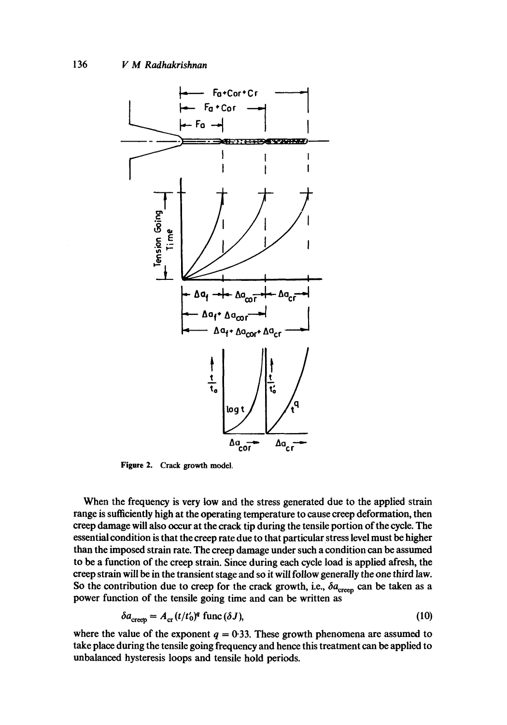

Figure 2. Crack growth model.

When the frequency is very low and the stress generated due to the applied strain range is sufficiently high at the operating temperature to cause creep deformation, then creep damage will also occur at the crack tip during the tensile portion of the cycle. The essential condition is that the creep rate due to that particular stress level must be higher than the imposed strain rate. The creep damage under such a condition can be assumed to be a function of the creep strain. Since during each cycle load is applied afresh, the creep strain will be in the transient stage and so it will follow generally the one third law. So the contribution due to creep for the crack growth, i.e.,  $\delta a_{\text{creo}}$  can be taken as a power function of the tensile going time and can be written as

$$
\delta a_{\rm creep} = A_{\rm cr} (t/t_0)^q \, \text{func} (\delta J), \tag{10}
$$

where the value of the exponent  $q = 0.33$ . These growth phenomena are assumed to take place during the tensile going frequency and hence this treatment can be applied to unbalanced hysteresis loops and tensile hold periods.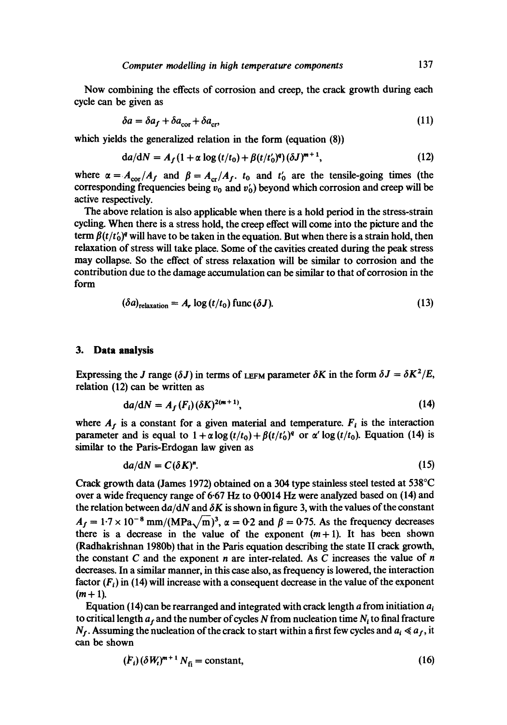Now combining the effects of corrosion and creep, the crack growth during each cycle can be given as

$$
\delta a = \delta a_f + \delta a_{\rm cor} + \delta a_{\rm cr},\tag{11}
$$

which yields the generalized relation in the form (equation (8))

$$
da/dN = A_f (1 + \alpha \log (t/t_0) + \beta (t/t'_0)^q) (\delta J)^{m+1},
$$
\n(12)

where  $\alpha = A_{\text{cor}}/A_f$  and  $\beta = A_{\text{cr}}/A_f$ .  $t_0$  and  $t'_0$  are the tensile-going times (the corresponding frequencies being  $v_0$  and  $v_0'$  beyond which corrosion and creep will be active respectively.

The above relation is also applicable when there is a hold period in the stress-strain cycling. When there is a stress hold, the creep effect will come into the picture and the term  $\beta(t/t_0)^q$  will have to be taken in the equation. But when there is a strain hold, then relaxation of stress will take place. Some of the cavities created during the peak stress may collapse. So the effect of stress relaxation will be similar to corrosion and the contribution due to the damage accumulation can be similar to that of corrosion in the form

$$
(\delta a)_{\text{relaxation}} = A_r \log (t/t_0) \text{ func} (\delta J). \tag{13}
$$

#### **3. Data analysis**

Expressing the J range  $(\delta J)$  in terms of LEFM parameter  $\delta K$  in the form  $\delta J = \delta K^2/E$ , relation (12) can be written as

$$
da/dN = A_f(F_i)(\delta K)^{2(m+1)},\tag{14}
$$

where  $A_f$  is a constant for a given material and temperature.  $F_i$  is the interaction parameter and is equal to  $1 + \alpha \log(t/t_0) + \beta(t/t_0)^q$  or  $\alpha' \log(t/t_0)$ . Equation (14) is similar to the Paris-Erdogan law given as

$$
da/dN = C(\delta K)^{n}.
$$
 (15)

Crack growth data (James 1972) obtained on a 304 type stainless steel tested at 538°C over a wide frequency range of  $6.67$  Hz to  $0.0014$  Hz were analyzed based on  $(14)$  and the relation between  $d\alpha/dN$  and  $\delta K$  is shown in figure 3, with the values of the constant  $A_f = 1.7 \times 10^{-8}$  mm/(MPa $\sqrt{m}$ )<sup>3</sup>,  $\alpha = 0.2$  and  $\beta = 0.75$ . As the frequency decreases there is a decrease in the value of the exponent  $(m+1)$ . It has been shown (Radhakrishnan 1980b) that in the Paris equation describing the state II crack growth, the constant C and the exponent n are inter-related. As C increases the value of  $n$ decreases. In a similar manner, in this case also, as frequency is lowered, the interaction factor  $(F_i)$  in (14) will increase with a consequent decrease in the value of the exponent  $(m+1)$ .

Equation (14) can be rearranged and integrated with crack length  $\alpha$  from initiation  $a_i$ to critical length  $a_f$  and the number of cycles N from nucleation time  $N_i$  to final fracture  $N_f$ . Assuming the nucleation of the crack to start within a first few cycles and  $a_i \ll a_f$ , it can be shown

$$
(F_i)(\delta W_i)^{m+1} N_{\tilde{H}} = \text{constant},\tag{16}
$$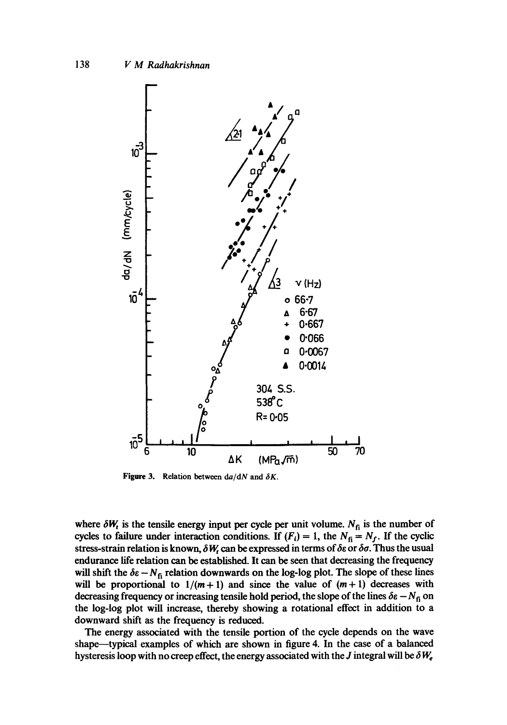

Figure 3. Relation between  $da/dN$  and  $\delta K$ .

where  $\delta W_t$  is the tensile energy input per cycle per unit volume. N<sub>fi</sub> is the number of cycles to failure under interaction conditions. If  $(F_i) = 1$ , the  $N_f = N_f$ . If the cyclic stress-strain relation is known,  $\delta W_i$  can be expressed in terms of  $\delta \varepsilon$  or  $\delta \sigma$ . Thus the usual endurance life relation can be established. It can be seen that decreasing the frequency will shift the  $\delta \varepsilon - N_0$  relation downwards on the log-log plot. The slope of these lines will be proportional to  $1/(m+1)$  and since the value of  $(m+1)$  decreases with decreasing frequency or increasing tensile hold period, the slope of the lines  $\delta \epsilon - N_{\rm fi}$  on the log-log plot will increase, thereby showing a rotational effect in addition to a downward shift as the frequency is reduced.

The energy associated with the tensile portion of the cycle depends on the wave shape--typical examples of which are shown in figure 4. In the case of a balanced hysteresis loop with no creep effect, the energy associated with the J integral will be  $\delta W_e$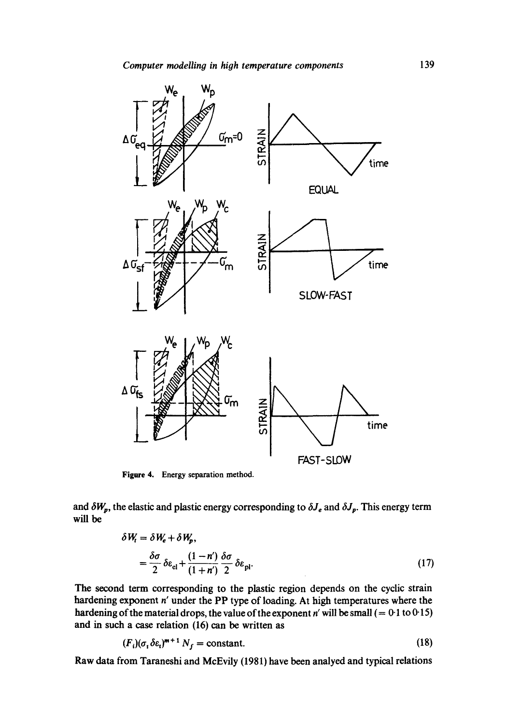

Figure 4. Energy separation method.

and  $\delta W_p$ , the elastic and plastic energy corresponding to  $\delta J_e$  and  $\delta J_p$ . This energy term will be

$$
\delta W_t = \delta W_e + \delta W_p,
$$
  
=  $\frac{\delta \sigma}{2} \delta \varepsilon_{el} + \frac{(1 - n')}{(1 + n') 2} \delta \sigma \delta \varepsilon_{pl}.$  (17)

The second term corresponding to the plastic region depends on the cyclic strain hardening exponent n' under the PP type of loading. At high temperatures where the hardening of the material drops, the value of the exponent n' will be small  $(= 0.1$  to  $0.15)$ and in such a case relation (16) can be written as

$$
(F_i)(\sigma_i \delta \varepsilon_i)^{m+1} N_f = \text{constant.} \tag{18}
$$

Raw data from Taraneshi and McEvily (1981) have been analyed and typical relations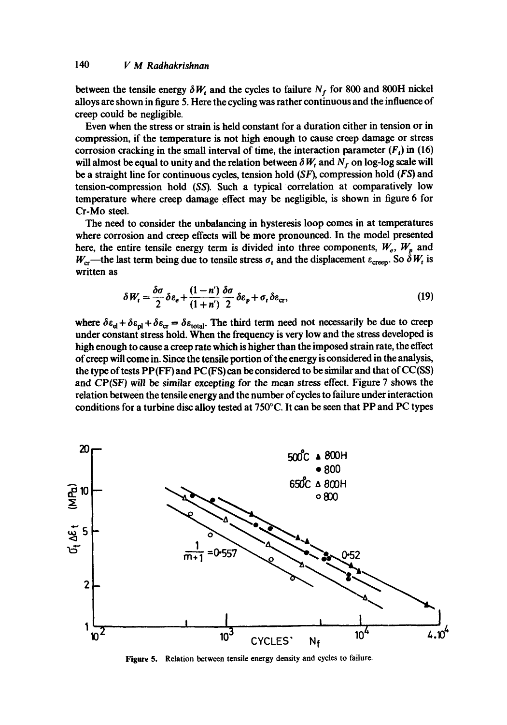between the tensile energy  $\delta W_t$  and the cycles to failure  $N_f$  for 800 and 800H nickel alloys are shown in figure 5. Here the cycling was rather continuous and the influence of creep could be negligible.

Even when the stress or strain is held constant for a duration either in tension or in compression, if the temperature is not high enough to cause creep damage or stress corrosion cracking in the small interval of time, the interaction parameter  $(F_i)$  in (16) will almost be equal to unity and the relation between  $\delta W_t$  and  $N_f$  on log-log scale will be a straight line for continuous cycles, tension hold  $(SF)$ , compression hold  $(FS)$  and tension-compression hold *(SS).* Such a typical correlation at comparatively low temperature where creep damage effect may be negligible, is shown in figure 6 for Cr-Mo steel.

The need to consider the unbalancing in hysteresis loop comes in at temperatures where corrosion and creep effects will be more pronounced. In the model presented here, the entire tensile energy term is divided into three components,  $W_e$ ,  $W_p$  and  $W_{\rm cr}$ —the last term being due to tensile stress  $\sigma_t$  and the displacement  $\varepsilon_{\rm creep}$ . So  $\delta W_t$  is written as

$$
\delta W_t = \frac{\delta \sigma}{2} \delta \varepsilon_e + \frac{(1 - n')}{(1 + n')^2} \frac{\delta \sigma}{2} \delta \varepsilon_p + \sigma_t \delta \varepsilon_{cr},
$$
\n(19)

where  $\delta \epsilon_{el} + \delta \epsilon_{pl} + \delta \epsilon_{cr} = \delta \epsilon_{total}$ . The third term need not necessarily be due to creep under constant stress hold. When the frequency is very low and the stress developed is high enough to cause a creep rate which is higher than the imposed strain rate, the effect of creep will come in. Since the tensile portion of the energy is considered in the analysis, the type of tests  $PP(FF)$  and  $PC(FS)$  can be considered to be similar and that of  $CC(SS)$ and CP(SF) *will be similar* excepting for the mean stress effect. Figure 7 shows the relation between the tensile energy and the number of cycles to failure under interaction conditions for a turbine disc alloy tested at 750°C. It can be seen that PP and PC types



**Figure** 5. Relation between tensile energy density and cycles to failure.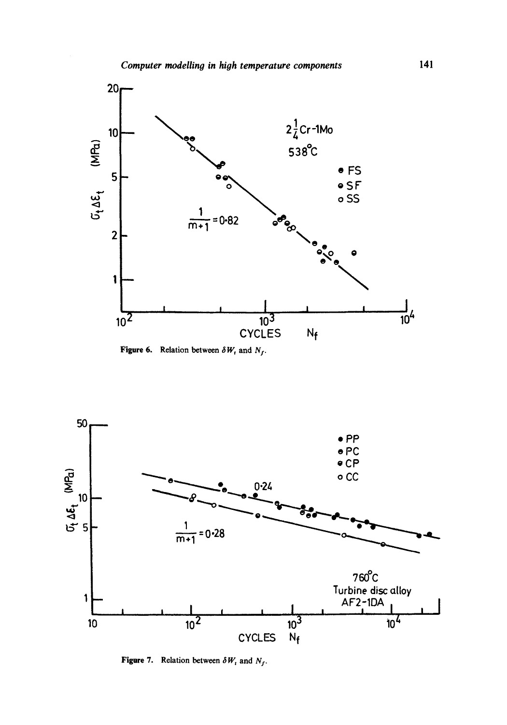

Figure 6. Relation between  $\delta W_t$  and  $N_f$ .



Figure 7. Relation between  $\delta W_i$  and  $N_f$ .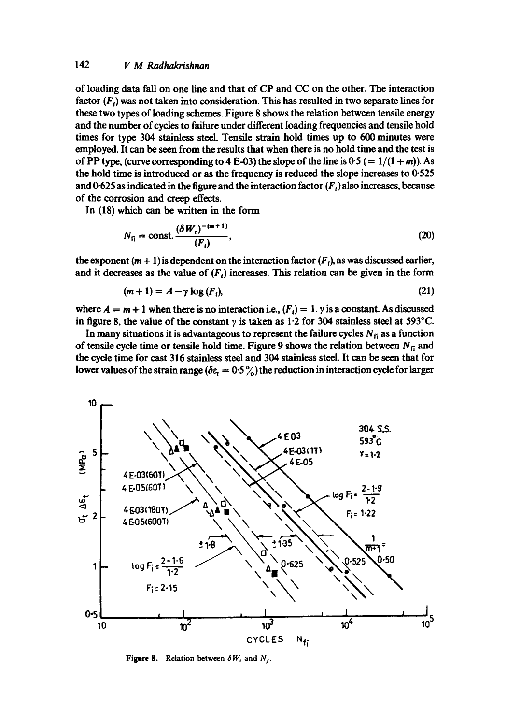## 142 *V M Radhakrishnan*

of loading data fall on one line and that of CP and CC on the other. The interaction factor *(Fi)* was not taken into consideration. This has resulted in two separate lines for these two types of loading schemes. Figure 8 shows the relation between tensile energy and the number of cycles to failure under different loading frequencies and tensile hold times for type 304 stainless steel. Tensile strain hold times up to 600 minutes were employed. It can be seen from the results that when there is no hold time and the test is of PP type, (curve corresponding to 4 E-03) the slope of the line is  $0.5$  (=  $1/(1+m)$ ). As the hold time is introduced or as the frequency is reduced the slope increases to 0.525 and 0-625 as indicated in the figure and the interaction factor  $(F_i)$  also increases, because of the corrosion and creep effects.

In (18) which can be written in the form

$$
N_{\rm fi} = \text{const.} \frac{(\delta W_t)^{-(m+1)}}{(F_t)},\tag{20}
$$

the exponent  $(m + 1)$  is dependent on the interaction factor  $(F_i)$ , as was discussed earlier, and it decreases as the value of  $(F_i)$  increases. This relation can be given in the form

$$
(m+1) = A - \gamma \log(F_i), \tag{21}
$$

where  $A = m + 1$  when there is no interaction i.e.,  $(F_i) = 1$ .  $\gamma$  is a constant. As discussed in figure 8, the value of the constant  $\gamma$  is taken as 1.2 for 304 stainless steel at 593°C.

In many situations it is advantageous to represent the failure cycles  $N_f$  as a function of tensile cycle time or tensile hold time. Figure 9 shows the relation between  $N_f$  and the cycle time for cast 316 stainless steel and 304 stainless steel. It can be seen that for lower values of the strain range ( $\delta \epsilon_t = 0.5 \%$ ) the reduction in interaction cycle for larger

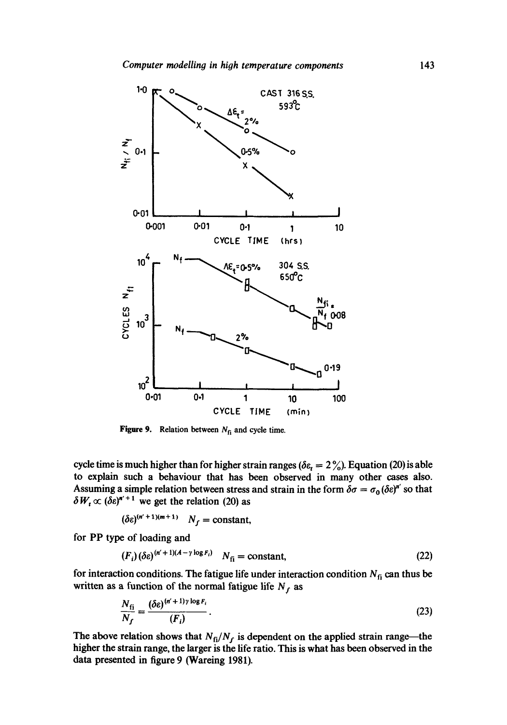

**Figure 9.** Relation between  $N_{fi}$  and cycle time.

cycle time is much higher than for higher strain ranges ( $\delta \epsilon_r = 2\frac{\gamma}{\omega}$ ). Equation (20) is able to explain such a behaviour that has been observed in many other cases also. Assuming a simple relation between stress and strain in the form  $\delta \sigma = \sigma_0 (\delta \varepsilon)^{n'}$  so that  $\delta W_t \propto (\delta \epsilon)^{n'+1}$  we get the relation (20) as

$$
(\delta \varepsilon)^{(n'+1)(m+1)} \quad N_f = \text{constant},
$$

for PP type of loading and

$$
(F_i)(\delta \varepsilon)^{(n'+1)(A-\gamma \log F_i)} \quad N_{fi} = \text{constant},\tag{22}
$$

for interaction conditions. The fatigue life under interaction condition  $N_{fi}$  can thus be written as a function of the normal fatigue life  $N_f$  as

$$
\frac{N_{\rm fi}}{N_f} = \frac{(\delta \varepsilon)^{(n'+1)\gamma \log F_i}}{(F_i)}.
$$
\n(23)

The above relation shows that  $N_f/N_f$  is dependent on the applied strain range—the higher the strain range, the larger is the life ratio. This is what has been observed in the data presented in figure 9 (Wareing 1981).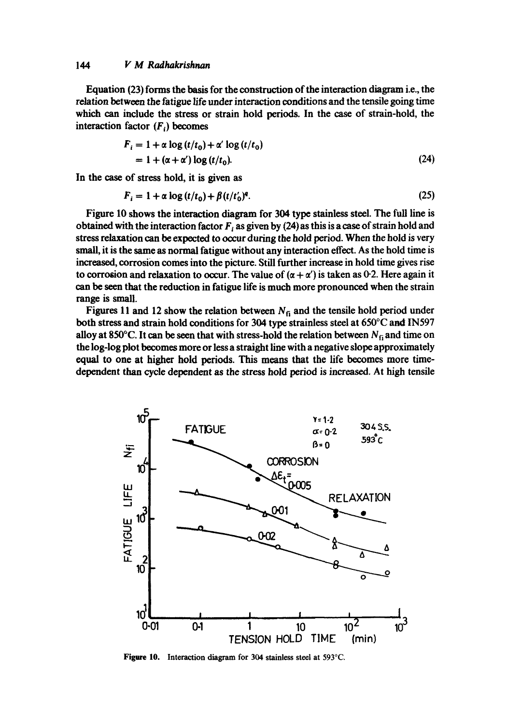#### *144 V M Radhakrishnan*

Equation (23) forms the basis for the construction of the interaction diagram i.e., the relation between the fatigue life under interaction conditions and the tensile going time which can include the stress or strain hold periods. In the case of strain-hold, the interaction factor  $(F_i)$  becomes

$$
F_i = 1 + \alpha \log(t/t_0) + \alpha' \log(t/t_0)
$$
  
= 1 + ( $\alpha$ + $\alpha'$ ) log(t/t\_0). (24)

In the case of stress hold, it is given as

$$
F_i = 1 + \alpha \log \left( t/t_0 \right) + \beta \left( t/t_0 \right)^q. \tag{25}
$$

Figure 10 shows the interaction diagram for 304 type stainless steel. The full line is obtained with the interaction factor  $F_i$  as given by (24) as this is a case of strain hold and stress relaxation can be expected to occur during the hold period. When the hold is very small, it is the same as normal fatigue without any interaction effect. As the hold time is increased, corrosion comes into the picture. Still further increase in hold time gives rise to corrosion and relaxation to occur. The value of  $(\alpha + \alpha')$  is taken as 0.2. Here again it can be seen that the reduction in fatigue life is much more pronounced when the strain range is small.

Figures 11 and 12 show the relation between  $N<sub>fi</sub>$  and the tensile hold period under both stress and strain hold conditions for 304 type strainless steel at 650°C and IN597 alloy at 850°C. It can be seen that with stress-hold the relation between  $N_{fi}$  and time on the log-log plot becomes more or less a straight line with a negative slope approximately equal to one at higher hold periods. This means that the life becomes more timedependent than cycle dependent as the stress hold period is increased. At high tensile



**Figare** 10. Interaction diagram for 304 stainless steel at 593°C.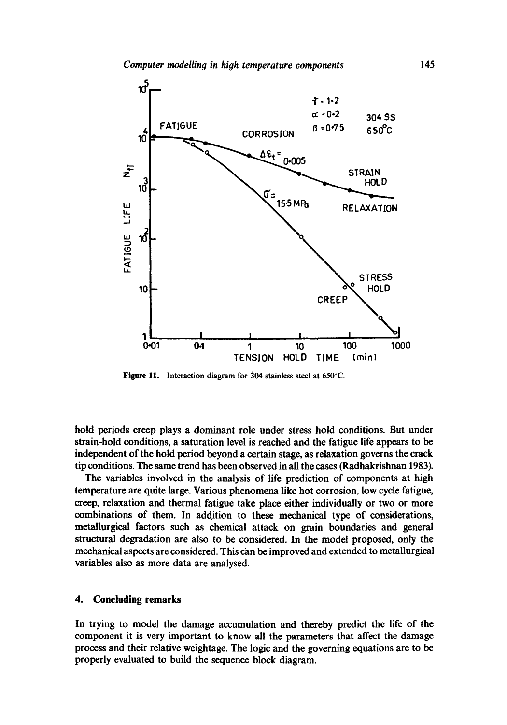

Figure 11. Interaction diagram for 304 stainless steel at 650°C.

hold periods creep plays a dominant role under stress hold conditions. But under strain-hold conditions, a saturation level is reached and the fatigue life appears to be independent of the hold period beyond a certain stage, as relaxation governs the crack tip conditions. The same trend has been observed in all the cases (Radhakrishnan 1983).

The variables involved in the analysis of life prediction of components at high temperature are quite large. Various phenomena like hot corrosion, low cycle fatigue, creep, relaxation and thermal fatigue take place either individually or two or more combinations of them. In addition to these mechanical type of considerations, metallurgical factors such as chemical attack on grain boundaries and general structural degradation are also to be considered. In the model proposed, only the mechanical aspects are considered. This can be improved and extended to metallurgical variables also as more data are analysed.

#### **4. Concluding remarks**

In trying to model the damage accumulation and thereby predict the life of the component it is very important to know all the parameters that affect the damage process and their relative weightage. The logic and the governing equations are to be properly evaluated to build the sequence block diagram.